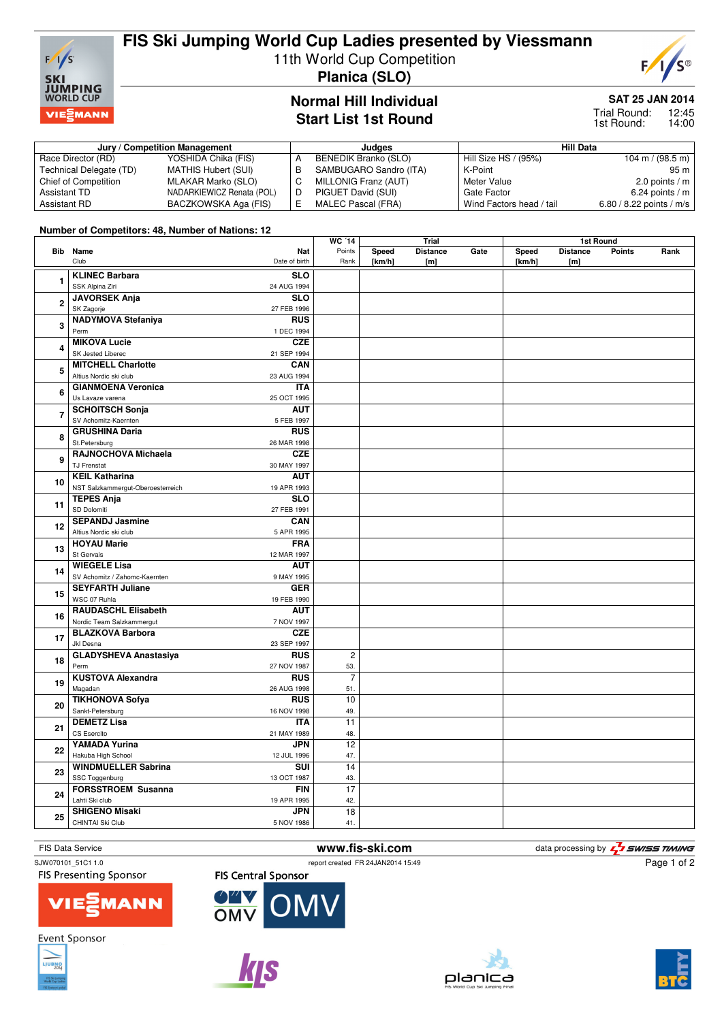

# **FIS Ski Jumping World Cup Ladies presented by Viessmann**

11th World Cup Competition

**Planica (SLO)**

## **Normal Hill Individual Start List 1st Round**

## **SAT 25 JAN 2014**

### 12:45 14:00 Trial Round: 1st Round:

### **Jury / Competition Management Judges Hill Data** Race Director (RD) YOSHIDA Chika (FIS)<br>Technical Delegate (TD) MATHIS Hubert (SUI) Technical Delegate (TD) MATHIS Hubert (SUI)<br>Chief of Competition MLAKAR Marko (SLO) Chief of Competition Assistant TD<br>Assistant RD BACZKOWSKA Aga (FIS) BACZKOWSKA Aga (FIS) A BENEDIK Branko (SLO)<br>B SAMBUGARO Sandro (I B SAMBUGARO Sandro (ITA)<br>C MILLONIG Franz (AUT) C MILLONIG Franz (AUT)<br>D PIGUET David (SUI) D PIGUET David (SUI)<br>E MALEC Pascal (FRA MALEC Pascal (FRA) Hill Size HS / (95%) 104 m / (98.5 m) K-Point 95 m<br>Meter Value 2.0 points / m 2.0 points /  $m$ Gate Factor 6.24 points / m<br>Wind Factors head / tail 6.80 / 8.22 points / m/s Wind Factors head / tail

## **Number of Competitors: 48, Number of Nations: 12**

|                         |                                             |                           | <b>WC '14</b>  |                 |                        | Trial |                 | 1st Round              |               |      |  |  |
|-------------------------|---------------------------------------------|---------------------------|----------------|-----------------|------------------------|-------|-----------------|------------------------|---------------|------|--|--|
|                         | Bib Name<br>Club                            | Nat<br>Date of birth      | Points<br>Rank | Speed<br>[km/h] | <b>Distance</b><br>[m] | Gate  | Speed<br>[km/h] | <b>Distance</b><br>[m] | <b>Points</b> | Rank |  |  |
| 1                       | <b>KLINEC Barbara</b>                       | <b>SLO</b>                |                |                 |                        |       |                 |                        |               |      |  |  |
|                         | SSK Alpina Ziri                             | 24 AUG 1994               |                |                 |                        |       |                 |                        |               |      |  |  |
|                         | <b>JAVORSEK Anja</b>                        | <b>SLO</b>                |                |                 |                        |       |                 |                        |               |      |  |  |
| $\overline{\mathbf{c}}$ | SK Zagorje                                  | 27 FEB 1996               |                |                 |                        |       |                 |                        |               |      |  |  |
| 3                       | <b>NADYMOVA Stefaniya</b>                   | <b>RUS</b>                |                |                 |                        |       |                 |                        |               |      |  |  |
|                         | Perm                                        | 1 DEC 1994                |                |                 |                        |       |                 |                        |               |      |  |  |
|                         | <b>MIKOVA Lucie</b>                         | <b>CZE</b>                |                |                 |                        |       |                 |                        |               |      |  |  |
| 4                       | SK Jested Liberec                           | 21 SEP 1994               |                |                 |                        |       |                 |                        |               |      |  |  |
|                         | <b>MITCHELL Charlotte</b>                   | CAN                       |                |                 |                        |       |                 |                        |               |      |  |  |
| 5<br>6                  | Altius Nordic ski club                      | 23 AUG 1994               |                |                 |                        |       |                 |                        |               |      |  |  |
|                         | <b>GIANMOENA Veronica</b>                   | <b>ITA</b>                |                |                 |                        |       |                 |                        |               |      |  |  |
|                         | Us Lavaze varena                            | 25 OCT 1995               |                |                 |                        |       |                 |                        |               |      |  |  |
| 7                       | <b>SCHOITSCH Sonja</b>                      | <b>AUT</b>                |                |                 |                        |       |                 |                        |               |      |  |  |
|                         | SV Achomitz-Kaernten                        | 5 FEB 1997                |                |                 |                        |       |                 |                        |               |      |  |  |
| 8                       | <b>GRUSHINA Daria</b>                       | <b>RUS</b>                |                |                 |                        |       |                 |                        |               |      |  |  |
|                         | St.Petersburg                               | 26 MAR 1998               |                |                 |                        |       |                 |                        |               |      |  |  |
| 9                       | RAJNOCHOVA Michaela                         | <b>CZE</b>                |                |                 |                        |       |                 |                        |               |      |  |  |
|                         | TJ Frenstat                                 | 30 MAY 1997               |                |                 |                        |       |                 |                        |               |      |  |  |
| 10                      | <b>KEIL Katharina</b>                       | <b>AUT</b>                |                |                 |                        |       |                 |                        |               |      |  |  |
|                         | NST Salzkammergut-Oberoesterreich           | 19 APR 1993               |                |                 |                        |       |                 |                        |               |      |  |  |
| 11                      | <b>TEPES Anja</b>                           | SLO                       |                |                 |                        |       |                 |                        |               |      |  |  |
|                         | SD Dolomiti                                 | 27 FEB 1991               |                |                 |                        |       |                 |                        |               |      |  |  |
| 12                      | <b>SEPANDJ Jasmine</b>                      | CAN                       |                |                 |                        |       |                 |                        |               |      |  |  |
|                         | Altius Nordic ski club                      | 5 APR 1995                |                |                 |                        |       |                 |                        |               |      |  |  |
| 13                      | <b>HOYAU Marie</b>                          | <b>FRA</b>                |                |                 |                        |       |                 |                        |               |      |  |  |
|                         | St Gervais                                  | 12 MAR 1997               |                |                 |                        |       |                 |                        |               |      |  |  |
| 14                      | <b>WIEGELE Lisa</b>                         | <b>AUT</b>                |                |                 |                        |       |                 |                        |               |      |  |  |
|                         | SV Achomitz / Zahomc-Kaernten               | 9 MAY 1995                |                |                 |                        |       |                 |                        |               |      |  |  |
| 15                      | <b>SEYFARTH Juliane</b>                     | <b>GER</b>                |                |                 |                        |       |                 |                        |               |      |  |  |
|                         | WSC 07 Ruhla                                | 19 FEB 1990               |                |                 |                        |       |                 |                        |               |      |  |  |
| 16                      | <b>RAUDASCHL Elisabeth</b>                  | <b>AUT</b>                |                |                 |                        |       |                 |                        |               |      |  |  |
|                         | Nordic Team Salzkammergut                   | 7 NOV 1997                |                |                 |                        |       |                 |                        |               |      |  |  |
| 17                      | <b>BLAZKOVA Barbora</b>                     | <b>CZE</b>                |                |                 |                        |       |                 |                        |               |      |  |  |
|                         | Jkl Desna                                   | 23 SEP 1997               |                |                 |                        |       |                 |                        |               |      |  |  |
| 18                      | <b>GLADYSHEVA Anastasiya</b>                | <b>RUS</b>                | $\overline{2}$ |                 |                        |       |                 |                        |               |      |  |  |
|                         | Perm                                        | 27 NOV 1987               | 53.            |                 |                        |       |                 |                        |               |      |  |  |
| 19                      | <b>KUSTOVA Alexandra</b>                    | RUS                       | $\overline{7}$ |                 |                        |       |                 |                        |               |      |  |  |
|                         | Magadan                                     | 26 AUG 1998               | 51.            |                 |                        |       |                 |                        |               |      |  |  |
| 20                      | <b>TIKHONOVA Sofya</b><br>Sankt-Petersburg  | <b>RUS</b>                | 10             |                 |                        |       |                 |                        |               |      |  |  |
|                         |                                             | 16 NOV 1998               | 49.            |                 |                        |       |                 |                        |               |      |  |  |
| 21<br>22<br>23          | <b>DEMETZ Lisa</b><br>CS Esercito           | <b>ITA</b>                | 11             |                 |                        |       |                 |                        |               |      |  |  |
|                         |                                             | 21 MAY 1989               | 48.            |                 |                        |       |                 |                        |               |      |  |  |
|                         | YAMADA Yurina                               | <b>JPN</b>                | 12             |                 |                        |       |                 |                        |               |      |  |  |
|                         | Hakuba High School                          | 12 JUL 1996               | 47.<br>14      |                 |                        |       |                 |                        |               |      |  |  |
|                         | <b>WINDMUELLER Sabrina</b>                  | SUI                       |                |                 |                        |       |                 |                        |               |      |  |  |
| 24                      | SSC Toggenburg<br><b>FORSSTROEM Susanna</b> | 13 OCT 1987<br><b>FIN</b> | 43.<br>17      |                 |                        |       |                 |                        |               |      |  |  |
|                         | Lahti Ski club                              | 19 APR 1995               | 42.            |                 |                        |       |                 |                        |               |      |  |  |
|                         | <b>SHIGENO Misaki</b>                       | <b>JPN</b>                |                |                 |                        |       |                 |                        |               |      |  |  |
| 25                      | CHINTAI Ski Club                            |                           | 18<br>41.      |                 |                        |       |                 |                        |               |      |  |  |
|                         |                                             | 5 NOV 1986                |                |                 |                        |       |                 |                        |               |      |  |  |

SJW070101\_51C1 1.0 report created FR 24JAN2014 15:49

**OM** 

FIS Data Service **WWW.fis-ski.com** and the data processing by  $\frac{7}{2}$  SWISS TIMING

**FIS Presenting Sponsor** 



**Event Sponsor** 





OMV

**FIS Central Sponsor** 





Page 1 of 2